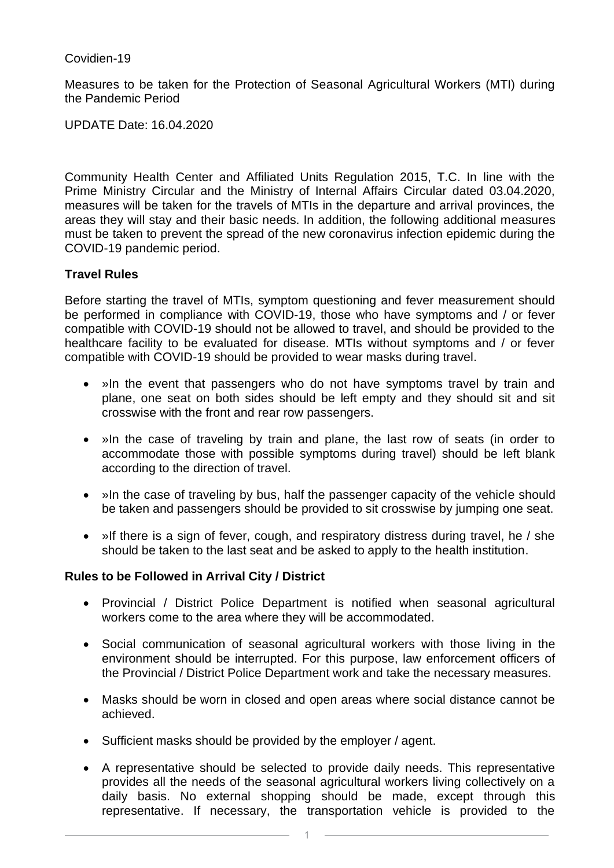Covidien-19

Measures to be taken for the Protection of Seasonal Agricultural Workers (MTI) during the Pandemic Period

UPDATE Date: 16.04.2020

Community Health Center and Affiliated Units Regulation 2015, T.C. In line with the Prime Ministry Circular and the Ministry of Internal Affairs Circular dated 03.04.2020, measures will be taken for the travels of MTIs in the departure and arrival provinces, the areas they will stay and their basic needs. In addition, the following additional measures must be taken to prevent the spread of the new coronavirus infection epidemic during the COVID-19 pandemic period.

### **Travel Rules**

Before starting the travel of MTIs, symptom questioning and fever measurement should be performed in compliance with COVID-19, those who have symptoms and / or fever compatible with COVID-19 should not be allowed to travel, and should be provided to the healthcare facility to be evaluated for disease. MTIs without symptoms and / or fever compatible with COVID-19 should be provided to wear masks during travel.

- »In the event that passengers who do not have symptoms travel by train and plane, one seat on both sides should be left empty and they should sit and sit crosswise with the front and rear row passengers.
- »In the case of traveling by train and plane, the last row of seats (in order to accommodate those with possible symptoms during travel) should be left blank according to the direction of travel.
- »In the case of traveling by bus, half the passenger capacity of the vehicle should be taken and passengers should be provided to sit crosswise by jumping one seat.
- »If there is a sign of fever, cough, and respiratory distress during travel, he / she should be taken to the last seat and be asked to apply to the health institution.

### **Rules to be Followed in Arrival City / District**

- Provincial / District Police Department is notified when seasonal agricultural workers come to the area where they will be accommodated.
- Social communication of seasonal agricultural workers with those living in the environment should be interrupted. For this purpose, law enforcement officers of the Provincial / District Police Department work and take the necessary measures.
- Masks should be worn in closed and open areas where social distance cannot be achieved.
- Sufficient masks should be provided by the employer / agent.
- A representative should be selected to provide daily needs. This representative provides all the needs of the seasonal agricultural workers living collectively on a daily basis. No external shopping should be made, except through this representative. If necessary, the transportation vehicle is provided to the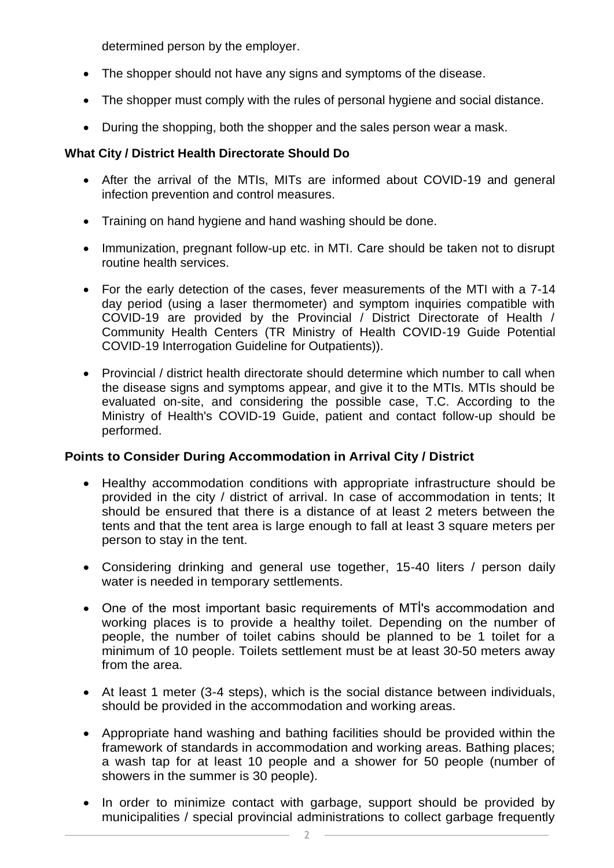determined person by the employer.

- The shopper should not have any signs and symptoms of the disease.
- The shopper must comply with the rules of personal hygiene and social distance.
- During the shopping, both the shopper and the sales person wear a mask.

## **What City / District Health Directorate Should Do**

- After the arrival of the MTIs, MITs are informed about COVID-19 and general infection prevention and control measures.
- Training on hand hygiene and hand washing should be done.
- Immunization, pregnant follow-up etc. in MTI. Care should be taken not to disrupt routine health services.
- For the early detection of the cases, fever measurements of the MTI with a 7-14 day period (using a laser thermometer) and symptom inquiries compatible with COVID-19 are provided by the Provincial / District Directorate of Health / Community Health Centers (TR Ministry of Health COVID-19 Guide Potential COVID-19 Interrogation Guideline for Outpatients)).
- Provincial / district health directorate should determine which number to call when the disease signs and symptoms appear, and give it to the MTIs. MTIs should be evaluated on-site, and considering the possible case, T.C. According to the Ministry of Health's COVID-19 Guide, patient and contact follow-up should be performed.

# **Points to Consider During Accommodation in Arrival City / District**

- Healthy accommodation conditions with appropriate infrastructure should be provided in the city / district of arrival. In case of accommodation in tents; It should be ensured that there is a distance of at least 2 meters between the tents and that the tent area is large enough to fall at least 3 square meters per person to stay in the tent.
- Considering drinking and general use together, 15-40 liters / person daily water is needed in temporary settlements.
- One of the most important basic requirements of MTİ's accommodation and working places is to provide a healthy toilet. Depending on the number of people, the number of toilet cabins should be planned to be 1 toilet for a minimum of 10 people. Toilets settlement must be at least 30-50 meters away from the area.
- At least 1 meter (3-4 steps), which is the social distance between individuals, should be provided in the accommodation and working areas.
- Appropriate hand washing and bathing facilities should be provided within the framework of standards in accommodation and working areas. Bathing places; a wash tap for at least 10 people and a shower for 50 people (number of showers in the summer is 30 people).
- In order to minimize contact with garbage, support should be provided by municipalities / special provincial administrations to collect garbage frequently